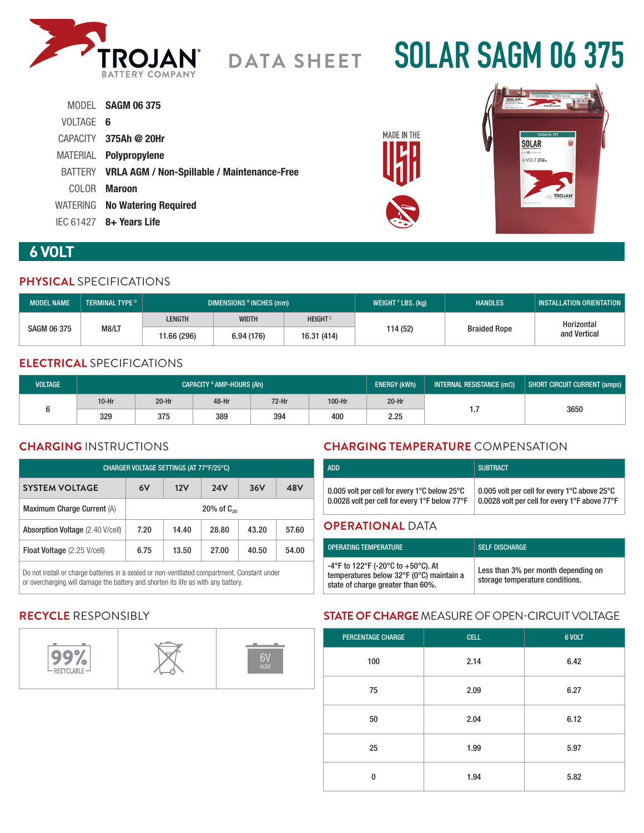

# **SOLAR SAGM 06 375**

|           | MODEL SAGM 06 375                                   |
|-----------|-----------------------------------------------------|
| VOLTAGE 6 |                                                     |
|           | CAPACITY 375Ah @ 20Hr                               |
|           | MATERIAL Polypropylene                              |
|           | BATTERY VRLA AGM / Non-Spillable / Maintenance-Free |
|           | COLOR <b>Maroon</b>                                 |
|           | WATERING No Watering Required                       |
|           | $IEC 61427$ 8+ Years Life                           |





# **6 VOLT**

## **PHYSICAL** SPECIFICATIONS

| <b>MODEL NAME</b>  | <b>TERMINAL TYPE D</b> | <b>DIMENSIONS B INCHES (mm)</b> |              |                           | WEIGHT $F$ LBS. (kg) | <b>HANDLES</b>      | <b>INSTALLATION ORIENTATION</b> |
|--------------------|------------------------|---------------------------------|--------------|---------------------------|----------------------|---------------------|---------------------------------|
| <b>SAGM 06 375</b> | M8/LT                  | <b>LENGTH</b>                   | <b>WIDTH</b> | <b>HEIGHT<sup>c</sup></b> |                      | <b>Braided Rope</b> | Horizontal                      |
|                    |                        | 11.66 (296)                     | 6.94 (176)   | 16.31 (414)               | 114 (52)             |                     | and Vertical                    |

# **ELECTRICAL** SPECIFICATIONS

| <b>VOLTAGE</b> | <b>CAPACITY <sup>A</sup> AMP-HOURS (Ah)</b> |         |       | <b>ENERGY (kWh)</b> | INTERNAL RESISTANCE $(m\Omega)$ | SHORT CIRCUIT CURRENT (amps) |          |      |
|----------------|---------------------------------------------|---------|-------|---------------------|---------------------------------|------------------------------|----------|------|
|                | $10-Hr$                                     | $20-Hr$ | 48-Hr | $72-Hr$             | 100-Hr                          | $20-Hr$                      |          |      |
|                | 329                                         | 375     | 389   | 394                 | 400                             | 2.25                         | $\cdots$ | 3650 |

# **CHARGING** INSTRUCTIONS

| CHARGER VOLTAGE SETTINGS (AT 77°F/25°C) |                    |       |            |       |       |
|-----------------------------------------|--------------------|-------|------------|-------|-------|
| <b>SYSTEM VOLTAGE</b>                   | 6V                 | 12V   | <b>24V</b> | 36V   | 48V   |
| Maximum Charge Current (A)              | $20\%$ of $C_{20}$ |       |            |       |       |
| Absorption Voltage (2.40 V/cell)        | 7.20               | 14.40 | 28.80      | 43.20 | 57.60 |
| Float Voltage (2.25 V/cell)             | 6.75               | 13.50 | 27.00      | 40.50 | 54.00 |

Do not install or charge batteries in a sealed or non-ventilated compartment. Constant under or overcharging will damage the battery and shorten its life as with any battery.

# **CHARGING TEMPERATURE** COMPENSATION

| <b>ADD</b>                                                                                                          | <b>SUBTRACT</b>                                                                               |  |  |  |  |
|---------------------------------------------------------------------------------------------------------------------|-----------------------------------------------------------------------------------------------|--|--|--|--|
| 0.005 volt per cell for every 1 $^{\circ}$ C below 25 $^{\circ}$ C<br>0.0028 volt per cell for every 1°F below 77°F | 0.005 volt per cell for every 1°C above 25°C<br>0.0028 volt per cell for every 1°F above 77°F |  |  |  |  |
| <b>OPERATIONAL DATA</b>                                                                                             |                                                                                               |  |  |  |  |

#### **OPERATIONAL** DATA

| <b>OPERATING TEMPERATURE</b>                                                                                                            | <b>SELF DISCHARGE</b>                                                  |
|-----------------------------------------------------------------------------------------------------------------------------------------|------------------------------------------------------------------------|
| -4°F to 122°F (-20°C to +50°C). At<br>temperatures below $32^{\circ}F$ (0 $^{\circ}C$ ) maintain a<br>state of charge greater than 60%. | Less than 3% per month depending on<br>storage temperature conditions. |

# **RECYCLE** RESPONSIBLY



## **STATE OF CHARGE** MEASURE OF OPEN-CIRCUIT VOLTAGE

| <b>PERCENTAGE CHARGE</b> | <b>CELL</b> | 6 VOLT |
|--------------------------|-------------|--------|
| 100                      | 2.14        | 6.42   |
| 75                       | 2.09        | 6.27   |
| 50                       | 2.04        | 6.12   |
| 25                       | 1.99        | 5.97   |
| $\bf{0}$                 | 1.94        | 5.82   |